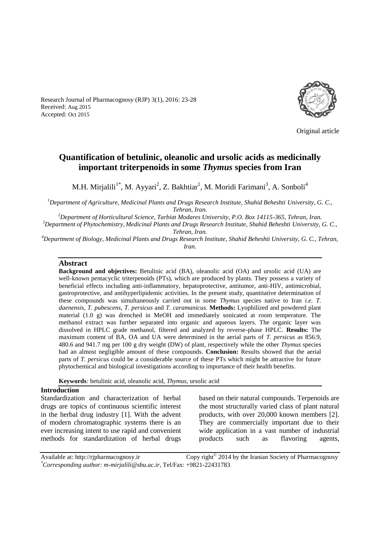Research Journal of Pharmacognosy (RJP) 3(1), 2016: 23-28 Received: Aug 2015 Accepted: Oct 2015



Original article

# **Quantification of betulinic, oleanolic and ursolic acids as medicinally important triterpenoids in some** *Thymus* **species from Iran**

M.H. Mirjalili<sup>1\*</sup>, M. Ayyari<sup>2</sup>, Z. Bakhtiar<sup>1</sup>, M. Moridi Farimani<sup>3</sup>, A. Sonboli<sup>4</sup>

*<sup>1</sup>Department of Agriculture, Medicinal Plants and Drugs Research Institute, Shahid Beheshti University, G. C., Tehran, Iran.*

*<sup>2</sup>Department of Horticultural Science, Tarbiat Modares University, P.O. Box 14115-365, Tehran, Iran.*

*<sup>3</sup>Department of Phytochemistry, Medicinal Plants and Drugs Research Institute, Shahid Beheshti University, G. C., Tehran, Iran.*

*<sup>4</sup>Department of Biology, Medicinal Plants and Drugs Research Institute, Shahid Beheshti University, G. C., Tehran, Iran.*

#### **Abstract**

**Background and objectives:** Betulinic acid (BA), oleanolic acid (OA) and ursolic acid (UA) are well-known pentacyclic triterpenoids (PTs), which are produced by plants. They possess a variety of beneficial effects including anti-inflammatory, hepatoprotective, antitumor, anti-HIV, antimicrobial, gastroprotective, and antihyperlipidemic activities. In the present study, quantitative determination of these compounds was simultaneously carried out in some *Thymus* species native to Iran *i.e. T. daenensis*, *T. pubescens*, *T. persicus* and *T. caramanicus*. **Methods:** Lyophilized and powdered plant material (1.0 g) was drenched in MeOH and immediately sonicated at room temperature. The methanol extract was further separated into organic and aqueous layers. The organic layer was dissolved in HPLC grade methanol, filtered and analyzed by reverse-phase HPLC. **Results:** The maximum content of BA, OA and UA were determined in the aerial parts of *T. persicus* as 856.9, 480.6 and 941.7 mg per 100 g dry weight (DW) of plant, respectively while the other *Thymus* species had an almost negligible amount of these compounds. **Conclusion:** Results showed that the aerial parts of *T. persicus* could be a considerable source of these PTs which might be attractive for future phytochemical and biological investigations according to importance of their health benefits.

**Keywords***:* betulinic acid, oleanolic acid, *Thymus,* ursolic acid

## **Introduction**

Standardization and characterization of herbal drugs are topics of continuous scientific interest in the herbal drug industry [1]. With the advent of modern chromatographic systems there is an ever increasing intent to use rapid and convenient methods for standardization of herbal drugs

based on their natural compounds. Terpenoids are the most structurally varied class of plant natural products, with over 20,000 known members [2]. They are commercially important due to their wide application in a vast number of industrial products such as flavoring agents,

Available at: http://rjpharmacognosy.ir 2014 by the Iranian Society of Pharmacognosy *\*Corresponding author: m-mirjalili@sbu.ac.ir,* Tel/Fax: +9821-22431783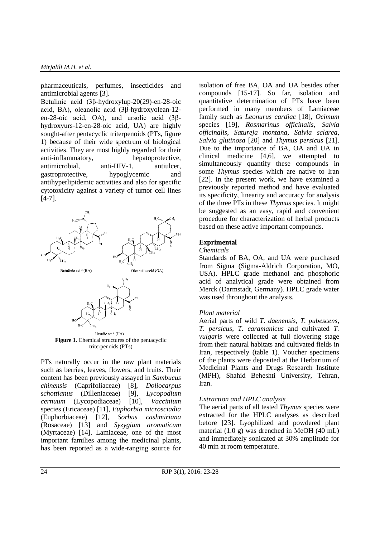pharmaceuticals, perfumes, insecticides and antimicrobial agents [3].

Betulinic acid (3β-hydroxylup-20(29)-en-28-oic acid, BA), oleanolic acid (3β-hydroxyolean-12 en-28-oic acid, OA), and ursolic acid (3βhydroxyurs-12-en-28-oic acid, UA) are highly sought-after pentacyclic triterpenoids (PTs, figure 1) because of their wide spectrum of biological activities. They are most highly regarded for their anti-inflammatory, hepatoprotective, antimicrobial, anti-HIV-1, antiulcer, gastroprotective, hypoglycemic and antihyperlipidemic activities and also for specific cytotoxicity against a variety of tumor cell lines  $[4-7]$ .



PTs naturally occur in the raw plant materials such as berries, leaves, flowers, and fruits. Their content has been previously assayed in *Sambucus chinensis* (Caprifoliaceae) [8], *Doliocarpus schottianus* (Dilleniaceae) [9], *Lycopodium cernuum* (Lycopodiaceae) species (Ericaceae) [11], *Euphorbia microsciadia* (Euphorbiaceae) [12], *Sorbus cashmiriana* (Rosaceae) [13] and *Syzygium aromaticum* (Myrtaceae) [14]. Lamiaceae, one of the most important families among the medicinal plants, has been reported as a wide-ranging source for isolation of free BA, OA and UA besides other compounds [15-17]. So far, isolation and quantitative determination of PTs have been performed in many members of Lamiaceae family such as *Leonurus cardiac* [18], *Ocimum* species [19], *Rosmarinus officinalis*, *Salvia officinalis*, *Satureja montana*, *Salvia sclarea*, *Salvia glutinosa* [20] and *Thymus persicus* [21]. Due to the importance of BA, OA and UA in clinical medicine [4,6], we attempted to simultaneously quantify these compounds in some *Thymus* species which are native to Iran [22]. In the present work, we have examined a previously reported method and have evaluated its specificity, linearity and accuracy for analysis of the three PTs in these *Thymus* species. It might be suggested as an easy, rapid and convenient procedure for characterization of herbal products based on these active important compounds.

#### **Exprimental**

#### *Chemicals*

Standards of BA, OA, and UA were purchased from Sigma (Sigma-Aldrich Corporation, MO, USA). HPLC grade methanol and phosphoric acid of analytical grade were obtained from Merck (Darmstadt, Germany). HPLC grade water was used throughout the analysis.

#### *Plant material*

Aerial parts of wild *T. daenensis*, *T. pubescens*, *T. persicus*, *T. caramanicus* and cultivated *T. vulgaris* were collected at full flowering stage from their natural habitats and cultivated fields in Iran, respectively (table 1). Voucher specimens of the plants were deposited at the Herbarium of Medicinal Plants and Drugs Research Institute (MPH), Shahid Beheshti University, Tehran, Iran.

#### *Extraction and HPLC analysis*

The aerial parts of all tested *Thymus* species were extracted for the HPLC analyses as described before [23]. Lyophilized and powdered plant material (1.0 g) was drenched in MeOH (40 mL) and immediately sonicated at 30% amplitude for 40 min at room temperature.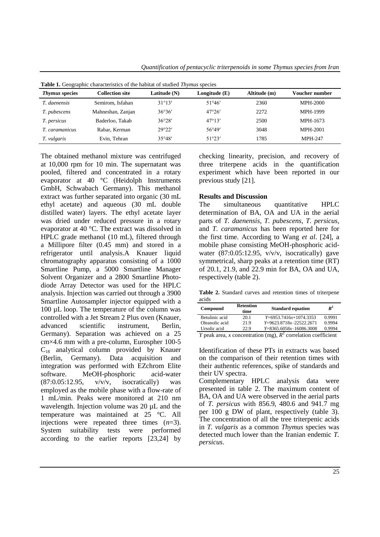*Quantification of pentacyclic triterpenoids in some Thymus species from Iran*

| <i>Thymus</i> species | Collection site   | Latitude (N)    | Longitude (E)   | Altitude (m) | Voucher number  |
|-----------------------|-------------------|-----------------|-----------------|--------------|-----------------|
| T. daenensis          | Semirom, Isfahan  | $31^{\circ}13'$ | 51°46'          | 2360         | <b>MPH-2000</b> |
| T. pubescens          | Mahneshan, Zanjan | 36°36'          | 47°26'          | 2272         | <b>MPH-1999</b> |
| T. persicus           | Baderloo, Takab   | 36°28'          | $47^{\circ}13'$ | 2500         | MPH-1673        |
| T. caramanicus        | Rabar, Kerman     | 29°22'          | 56°49'          | 3048         | MPH-2001        |
| T. vulgaris           | Evin. Tehran      | 35°48'          | 51°23'          | 1785         | <b>MPH-247</b>  |

**Table 1.** Geographic characteristics of the habitat of studied *Thymus* species

The obtained methanol mixture was centrifuged at 10,000 rpm for 10 min. The supernatant was pooled, filtered and concentrated in a rotary evaporator at 40 °C (Heidolph Instruments GmbH, Schwabach Germany). This methanol extract was further separated into organic (30 mL ethyl acetate) and aqueous (30 mL double distilled water) layers. The ethyl acetate layer was dried under reduced pressure in a rotary evaporator at 40 °C. The extract was dissolved in HPLC grade methanol (10 mL), filtered through a Millipore filter (0.45 mm) and stored in a refrigerator until analysis.A Knauer liquid chromatography apparatus consisting of a 1000 Smartline Pump, a 5000 Smartline Manager Solvent Organizer and a 2800 Smartline Photodiode Array Detector was used for the HPLC analysis. Injection was carried out through a 3900 Smartline Autosampler injector equipped with a 100 µL loop. The temperature of the column was controlled with a Jet Stream 2 Plus oven (Knauer, advanced scientific instrument, Berlin, Germany). Separation was achieved on a 25 cm×4.6 mm with a pre-column, Eurospher 100-5  $C_{18}$  analytical column provided by Knauer (Berlin, Germany). Data acquisition and integration was performed with EZchrom Elite software. MeOH-phosphoric acid-water  $(87:0.05:12.95, \quad v/v/v, \quad isocratically)$  was employed as the mobile phase with a flow-rate of 1 mL/min. Peaks were monitored at 210 nm wavelength. Injection volume was 20  $\mu$ L and the temperature was maintained at 25 °C. All injections were repeated three times (*n*=3). System suitability tests were performed according to the earlier reports [23,24] by checking linearity, precision, and recovery of three triterpene acids in the quantification experiment which have been reported in our previous study [21].

# **Results and Discussion**

The simultaneous quantitative HPLC determination of BA, OA and UA in the aerial parts of *T. daenensis*, *T. pubescens*, *T. persicus*, and *T. caramanicus* has been reported here for the first time. According to Wang *et al*. [24], a mobile phase consisting MeOH-phosphoric acidwater (87:0.05:12.95, v/v/v, isocratically) gave symmetrical, sharp peaks at a retention time (RT) of 20.1, 21.9, and 22.9 min for BA, OA and UA, respectively (table 2).

**Table 2.** Standard curves and retention times of triterpene acids

| Compound       | <b>Retention</b><br>time | <b>Standard equation</b>  | $R^2$         |
|----------------|--------------------------|---------------------------|---------------|
| Betulinic acid | 20.1                     | $Y=6953.7416x+1074.3353$  | 0.9991        |
| Oleanolic acid | 219                      | $Y=9623.8718x-22522.2671$ | 0.9994        |
| Ursolic acid   | 22.9                     | $Y=8365.6058x-16086.3008$ | 0.9994        |
|                | $\sim$ $\sim$ $\sim$     | - 2<br>$\cdot$ $\cdot$    | $\sim$ $\sim$ |

*Y* peak area, *x* concentration (mg),  $R^2$  correlation coefficient

Identification of these PTs in extracts was based on the comparison of their retention times with their authentic references, spike of standards and their UV spectra.

Complementary HPLC analysis data were presented in table 2. The maximum content of BA, OA and UA were observed in the aerial parts of *T. persicus* with 856.9, 480.6 and 941.7 mg per 100 g DW of plant, respectively (table 3). The concentration of all the tree triterpenic acids in *T. vulgaris* as a common *Thymus* species was detected much lower than the Iranian endemic *T. persicus*.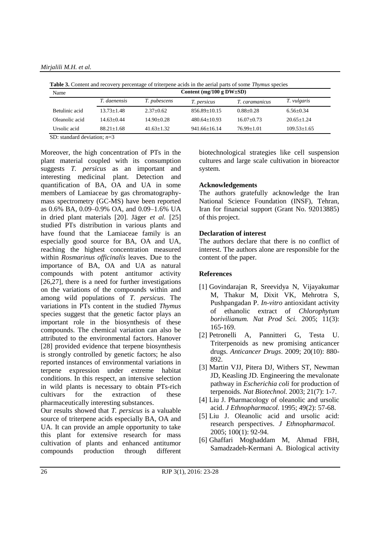*Mirjalili M.H. et al.*

| Name           | Content (mg/100 g $DW{\pm}SD$ ) |                |                    |                |                   |  |  |
|----------------|---------------------------------|----------------|--------------------|----------------|-------------------|--|--|
|                | <i>T. daenensis</i>             | T. pubescens   | <i>T. persicus</i> | T. caramanicus | T. vulgaris       |  |  |
| Betulinic acid | $13.73 + 1.48$                  | $2.37+0.62$    | $856.89 + 10.15$   | $0.88 + 0.28$  | $6.56 + 0.34$     |  |  |
| Oleanolic acid | $14.63+0.44$                    | $14.90 + 0.28$ | $480.64+10.93$     | $16.07+0.73$   | $20.65+1.24$      |  |  |
| Ursolic acid   | $88.21 + 1.68$                  | $41.63+1.32$   | $941.66 + 16.14$   | $76.99 + 1.01$ | $109.53 \pm 1.65$ |  |  |

**Table 3.** Content and recovery percentage of triterpene acids in the aerial parts of some *Thymus* species

SD: standard deviation; *n*=3

Moreover, the high concentration of PTs in the plant material coupled with its consumption suggests *T. persicus* as an important and interesting medicinal plant. Detection and quantification of BA, OA and UA in some members of Lamiaceae by gas chromatographymass spectrometry (GC-MS) have been reported as 0.6% BA, 0.09–0.9% OA, and 0.09–1.6% UA in dried plant materials [20]. Jäger *et al.* [25] studied PTs distribution in various plants and have found that the Lamiaceae family is an especially good source for BA, OA and UA, reaching the highest concentration measured within *Rosmarinus officinalis* leaves. Due to the importance of BA, OA and UA as natural compounds with potent antitumor activity [26,27], there is a need for further investigations on the variations of the compounds within and among wild populations of *T. persicus*. The variations in PTs content in the studied *Thymus* species suggest that the genetic factor plays an important role in the biosynthesis of these compounds. The chemical variation can also be attributed to the environmental factors. Hanover [28] provided evidence that terpene biosynthesis is strongly controlled by genetic factors; he also reported instances of environmental variations in terpene expression under extreme habitat conditions. In this respect, an intensive selection in wild plants is necessary to obtain PTs-rich cultivars for the extraction of these pharmaceutically interesting substances.

Our results showed that *T. persicus* is a valuable source of triterpene acids especially BA, OA and UA. It can provide an ample opportunity to take this plant for extensive research for mass cultivation of plants and enhanced antitumor compounds production through different biotechnological strategies like cell suspension cultures and large scale cultivation in bioreactor system.

## **Acknowledgements**

The authors gratefully acknowledge the Iran National Science Foundation (INSF), Tehran, Iran for financial support (Grant No. 92013885) of this project.

### **Declaration of interest**

The authors declare that there is no conflict of interest. The authors alone are responsible for the content of the paper.

# **References**

- [1] Govindarajan R, Sreevidya N, Vijayakumar M, Thakur M, Dixit VK, Mehrotra S, Pushpangadan P. *In-vitro* antioxidant activity of ethanolic extract of *Chlorophytum borivilianum. Nat Prod Sci.* 2005; 11(3): 165-169.
- [2] Petronelli A, Pannitteri G, Testa U. Triterpenoids as new promising anticancer drugs. *Anticancer Drugs*. 2009; 20(10): 880- 892.
- [3] Martin VJJ, Pitera DJ, Withers ST, Newman JD, Keasling JD. Engineering the mevalonate pathway in *Escherichia coli* for production of terpenoids. *Nat Biotechnol.* 2003; 21(7): 1-7.
- [4] Liu J. Pharmacology of oleanolic and ursolic acid. *J Ethnopharmacol.* 1995; 49(2): 57-68.
- [5] Liu J. Oleanolic acid and ursolic acid: research perspectives. *J Ethnopharmacol.* 2005; 100(1): 92-94.
- [6] Ghaffari Moghaddam M, Ahmad FBH, Samadzadeh-Kermani A. Biological activity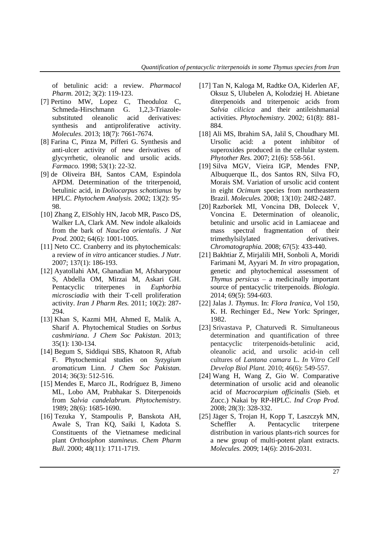of betulinic acid: a review. *Pharmacol Pharm.* 2012; 3(2): 119-123.

- [7] Pertino MW, Lopez C, Theoduloz C, Schmeda-Hirschmann G. 1,2,3-Triazolesubstituted oleanolic acid derivatives: synthesis and antiproliferative activity. *Molecules*. 2013; 18(7): 7661-7674.
- [8] Farina C, Pinza M, Pifferi G. Synthesis and anti-ulcer activity of new derivatives of glycyrrhetic, oleanolic and ursolic acids. *Farmaco.* 1998; 53(1): 22-32.
- [9] de Oliveira BH, Santos CAM, Espindola APDM. Determination of the triterpenoid, betulinic acid, in *Doliocarpus schottianus* by HPLC. *Phytochem Analysis.* 2002; 13(2): 95- 98.
- [10] Zhang Z, ElSohly HN, Jacob MR, Pasco DS, Walker LA, Clark AM. New indole alkaloids from the bark of *Nauclea orientalis*. *J Nat Prod.* 2002; 64(6): 1001-1005.
- [11] Neto CC. Cranberry and its phytochemicals: a review of *in vitro* anticancer studies. *J Nutr.*  2007; 137(1): 186-193.
- [12] Ayatollahi AM, Ghanadian M, Afsharypour S, Abdella OM, Mirzai M, Askari GH. Pentacyclic triterpenes in *Euphorbia microsciadia* with their T-cell proliferation activity. *Iran J Pharm Res.* 2011; 10(2): 287- 294.
- [13] Khan S, Kazmi MH, Ahmed E, Malik A, Sharif A. Phytochemical Studies on *Sorbus cashmiriana*. *J Chem Soc Pakistan.* 2013; 35(1): 130-134.
- [14] Begum S, Siddiqui SBS, Khatoon R, Aftab F. Phytochemical studies on *Syzygium aromaticum* Linn. *J Chem Soc Pakistan.* 2014; 36(3): 512-516.
- [15] Mendes E, Marco JL, Rodríguez B, Jimeno ML, Lobo AM, Prabhakar S. Diterpenoids from *Salvia candelabrum. Phytochemistry.* 1989; 28(6): 1685-1690.
- [16] Tezuka Y, Stampoulis P, Banskota AH, Awale S, Tran KQ, Saiki I, Kadota S. Constituents of the Vietnamese medicinal plant *Orthosiphon stamineus*. *Chem Pharm Bull.* 2000; 48(11): 1711-1719.
- [17] Tan N, Kaloga M, Radtke OA, Kiderlen AF, Oksuz S, Ulubelen A, Kolodziej H. Abietane diterpenoids and triterpenoic acids from *Salvia cilicica* and their antileishmanial activities. *Phytochemistry.* 2002; 61(8): 881- 884.
- [18] Ali MS, Ibrahim SA, Jalil S, Choudhary MI. Ursolic acid: a potent inhibitor of superoxides produced in the cellular system. *Phytother Res.* 2007; 21(6): 558-561.
- [19] Silva MGV, Vieira IGP, Mendes FNP, Albuquerque IL, dos Santos RN, Silva FO, Morais SM. Variation of ursolic acid content in eight *Ocimum* species from northeastern Brazil. *Molecules.* 2008; 13(10): 2482-2487.
- [20] Razboršek MI, Voncina DB, Dolecek V, Voncina E. Determination of oleanolic, betulinic and ursolic acid in Lamiaceae and mass spectral fragmentation of their trimethylsilylated derivatives. *Chromatographia.* 2008; 67(5): 433-440.
- [21] Bakhtiar Z, Mirjalili MH, Sonboli A, Moridi Farimani M, Ayyari M. *In vitro* propagation, genetic and phytochemical assessment of *Thymus persicus* – a medicinally important source of pentacyclic triterpenoids. *Biologia*. 2014; 69(5): 594-603.
- [22] Jalas J. *Thymus*. In: *Flora Iranica*, Vol 150, K. H. Rechinger Ed., New York: Springer, 1982.
- [23] Srivastava P, Chaturvedi R. Simultaneous determination and quantification of three pentacyclic triterpenoids-betulinic acid, oleanolic acid, and ursolic acid-in cell cultures of *Lantana camara* L. *In Vitro Cell Develop Biol Plant.* 2010; 46(6): 549-557.
- [24] Wang H, Wang Z, Gio W. Comparative determination of ursolic acid and oleanolic acid of *Macrocarpium officinalis* (Sieb. et Zucc.) Nakai by RP-HPLC. *Ind Crop Prod.* 2008; 28(3): 328-332.
- [25] Jäger S, Trojan H, Kopp T, Laszczyk MN, Scheffler A. Pentacyclic triterpene distribution in various plants-rich sources for a new group of multi-potent plant extracts. *Molecules.* 2009; 14(6): 2016-2031.